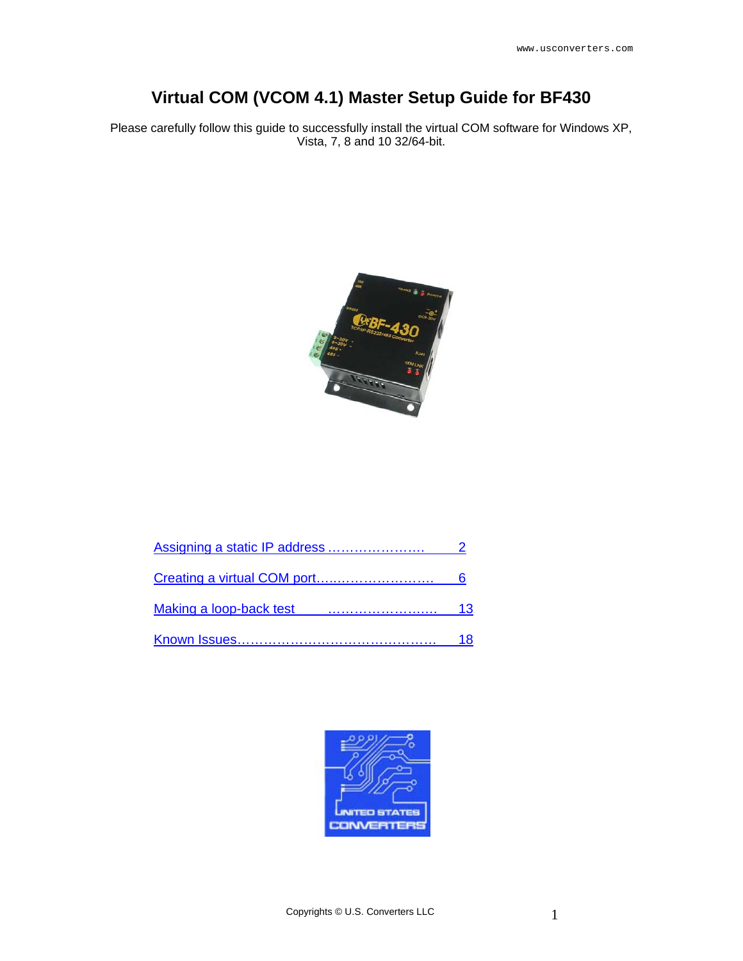# **Virtual COM (VCOM 4.1) Master Setup Guide for BF430**

Please carefully follow this guide to successfully install the virtual COM software for Windows XP, Vista, 7, 8 and 10 32/64-bit.



| 13 |
|----|
| 18 |

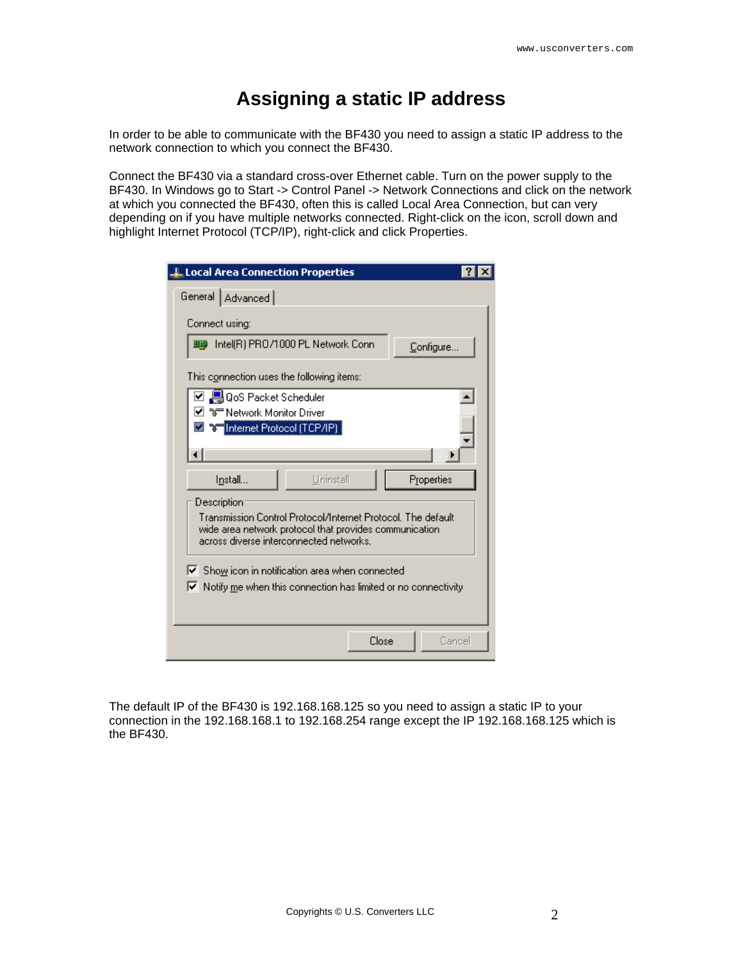### **Assigning a static IP address**

<span id="page-1-0"></span>In order to be able to communicate with the BF430 you need to assign a static IP address to the network connection to which you connect the BF430.

Connect the BF430 via a standard cross-over Ethernet cable. Turn on the power supply to the BF430. In Windows go to Start -> Control Panel -> Network Connections and click on the network at which you connected the BF430, often this is called Local Area Connection, but can very depending on if you have multiple networks connected. Right-click on the icon, scroll down and highlight Internet Protocol (TCP/IP), right-click and click Properties.

| <b>L</b> Local Area Connection Properties                                                                                                                         |
|-------------------------------------------------------------------------------------------------------------------------------------------------------------------|
| General   Advanced                                                                                                                                                |
| Connect using:                                                                                                                                                    |
| Intel(R) PRO/1000 PL Network Conn<br>理學<br>Configure                                                                                                              |
| This connection uses the following items:                                                                                                                         |
| ☑ 및 QoS Packet Scheduler                                                                                                                                          |
| "अन् Network Monitor Driver                                                                                                                                       |
| [Internet Protocol (TCP/IP):                                                                                                                                      |
|                                                                                                                                                                   |
|                                                                                                                                                                   |
| Uninstall<br>I <u>n</u> stall<br>Properties                                                                                                                       |
| Description                                                                                                                                                       |
| Transmission Control Protocol/Internet Protocol. The default<br>wide area network protocol that provides communication<br>across diverse interconnected networks. |
|                                                                                                                                                                   |
| Ⅳ Show icon in notification area when connected<br>$\blacktriangleright$ Notify me when this connection has limited or no connectivity                            |
| Close<br>Cancel                                                                                                                                                   |

The default IP of the BF430 is 192.168.168.125 so you need to assign a static IP to your connection in the 192.168.168.1 to 192.168.254 range except the IP 192.168.168.125 which is the BF430.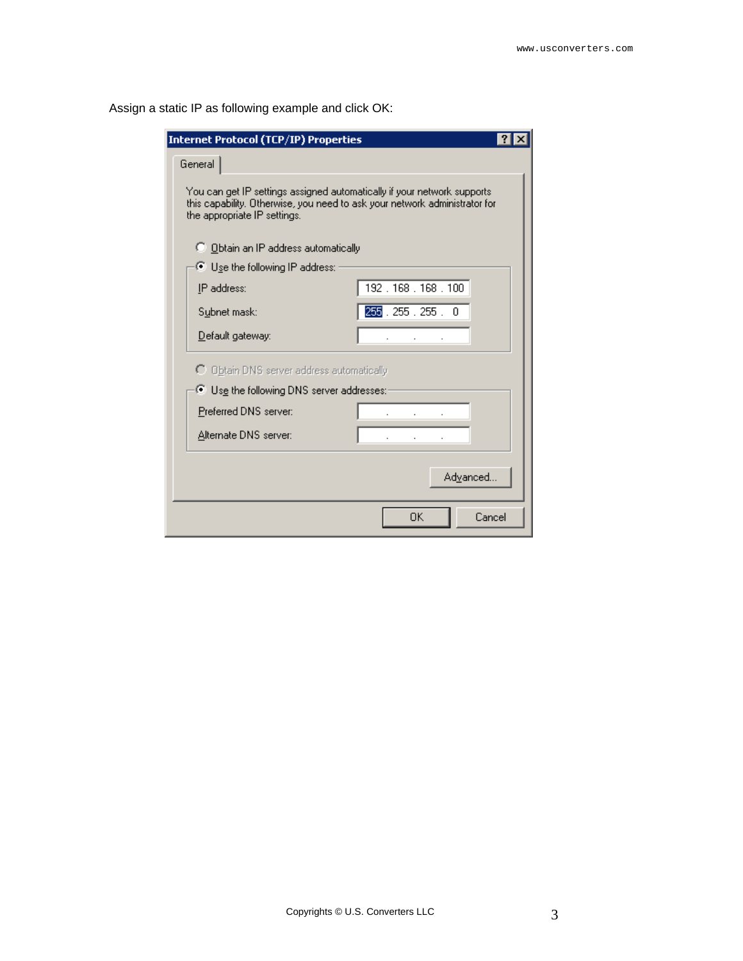| <b>Internet Protocol (TCP/IP) Properties</b>                                                                                                                                           |                 |
|----------------------------------------------------------------------------------------------------------------------------------------------------------------------------------------|-----------------|
| General                                                                                                                                                                                |                 |
| You can get IP settings assigned automatically if your network supports.<br>this capability. Otherwise, you need to ask your network administrator for<br>the appropriate IP settings. |                 |
| C Obtain an IP address automatically                                                                                                                                                   |                 |
| $\bullet$ Use the following IP address:                                                                                                                                                |                 |
| IP address:                                                                                                                                                                            | 192.168.168.100 |
| Subnet mask:                                                                                                                                                                           | 255.255.255.0   |
| Default gateway:                                                                                                                                                                       |                 |
| O Obtain DNS server address automatically                                                                                                                                              |                 |
| ● Use the following DNS server addresses:-                                                                                                                                             |                 |
| Preferred DNS server:                                                                                                                                                                  |                 |
| Alternate DNS server:                                                                                                                                                                  |                 |
|                                                                                                                                                                                        | Advanced        |
|                                                                                                                                                                                        | ΟK<br>Cancel    |

Assign a static IP as following example and click OK: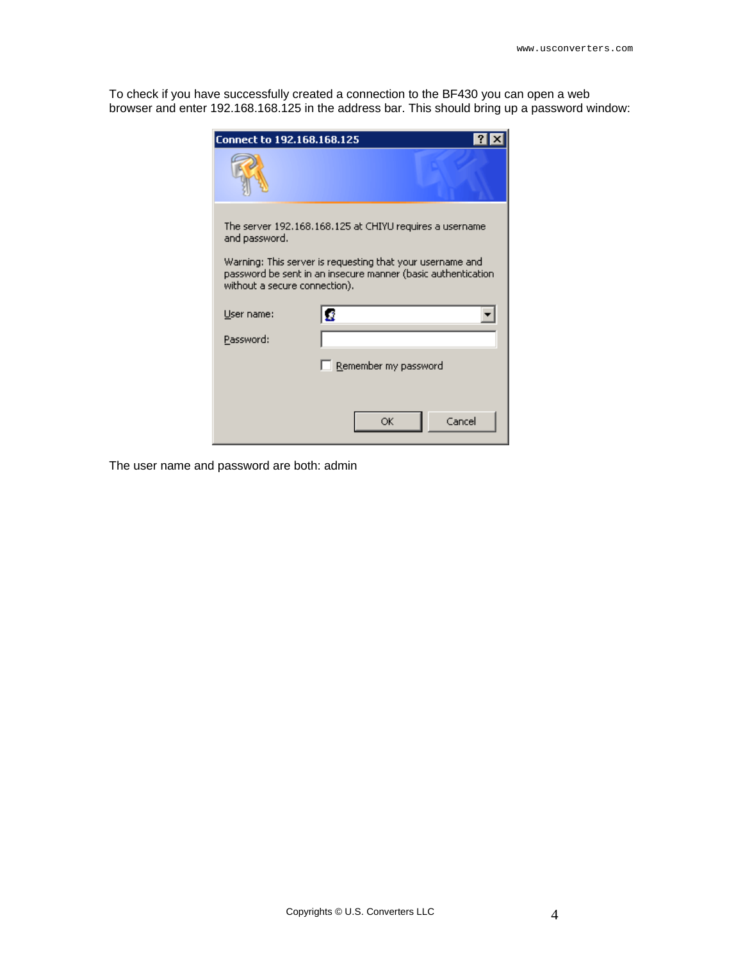To check if you have successfully created a connection to the BF430 you can open a web browser and enter 192.168.168.125 in the address bar. This should bring up a password window:

| Connect to 192.168.168.125    |                                                                                                                           |  |
|-------------------------------|---------------------------------------------------------------------------------------------------------------------------|--|
|                               |                                                                                                                           |  |
| and password.                 | The server 192.168.168.125 at CHIYU requires a username                                                                   |  |
| without a secure connection). | Warning: This server is requesting that your username and<br>password be sent in an insecure manner (basic authentication |  |
| User name:                    |                                                                                                                           |  |
| Password:                     |                                                                                                                           |  |
|                               | Remember my password                                                                                                      |  |
|                               |                                                                                                                           |  |
|                               | Cancel<br>ОК                                                                                                              |  |

The user name and password are both: admin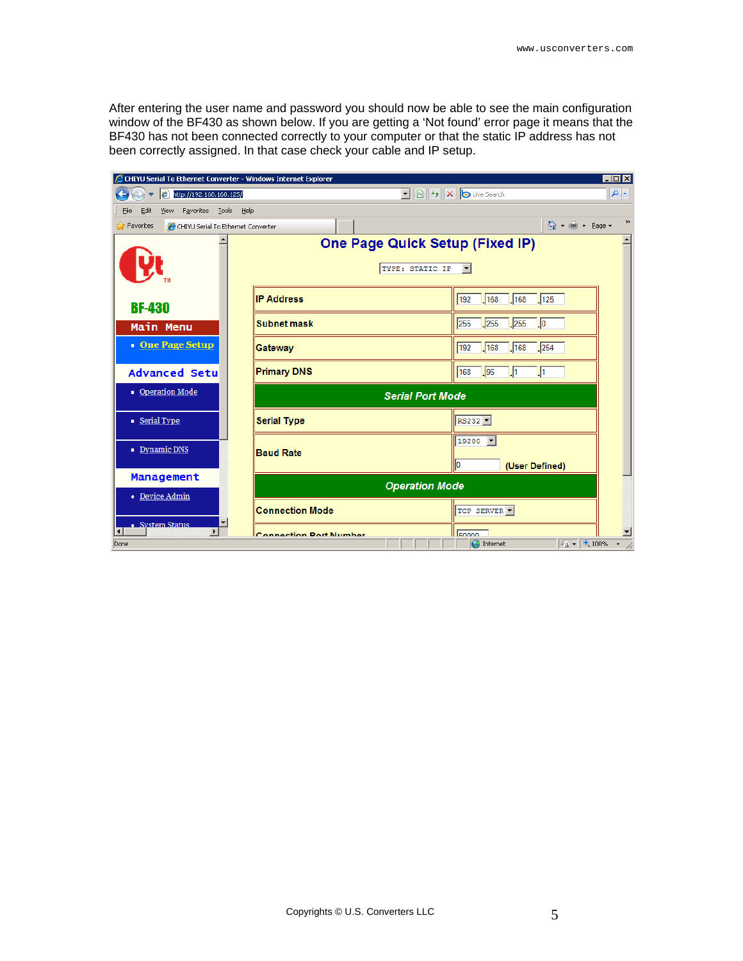After entering the user name and password you should now be able to see the main configuration window of the BF430 as shown below. If you are getting a 'Not found' error page it means that the BF430 has not been connected correctly to your computer or that the static IP address has not been correctly assigned. In that case check your cable and IP setup.

| EOX<br>CHIYU Serial To Ethernet Converter - Windows Internet Explorer                                   |                         |                                                           |                                             |               |  |  |  |
|---------------------------------------------------------------------------------------------------------|-------------------------|-----------------------------------------------------------|---------------------------------------------|---------------|--|--|--|
| $\rho$ .<br>$\mathbf{r}$<br><b>8 + X b</b> Live Search<br><b>P</b> http://192.168.168.125/<br>$\bullet$ |                         |                                                           |                                             |               |  |  |  |
| Favorites Tools Help<br>File<br>Edit<br>View                                                            |                         |                                                           |                                             |               |  |  |  |
| <b>P</b> Favorites<br>CHIYU Serial To Ethernet Converter                                                |                         |                                                           | 合·曲· Bage -                                 | $\rightarrow$ |  |  |  |
|                                                                                                         |                         | <b>One Page Quick Setup (Fixed IP)</b><br>TYPE: STATIC IP |                                             |               |  |  |  |
| <b>BF-430</b>                                                                                           | <b>IP Address</b>       |                                                           | 192<br>168<br>168<br>125                    |               |  |  |  |
| Main Menu                                                                                               | <b>Subnet mask</b>      |                                                           | .255<br>.255<br>255<br>$\cdot$ <sub>0</sub> |               |  |  |  |
| <b>One Page Setup</b>                                                                                   | Gateway                 |                                                           | 192<br>168<br> 254<br>168                   |               |  |  |  |
| <b>Advanced Setul</b>                                                                                   | <b>Primary DNS</b>      |                                                           | $\sqrt{95}$<br>168<br>J1<br>.h              |               |  |  |  |
| • Operation Mode                                                                                        | <b>Serial Port Mode</b> |                                                           |                                             |               |  |  |  |
| Serial Type                                                                                             | <b>Serial Type</b>      |                                                           | RS232 -                                     |               |  |  |  |
| Dynamic DNS                                                                                             | <b>Baud Rate</b>        |                                                           | 19200 -<br>llo<br>(User Defined)            |               |  |  |  |
| Management<br>• Device Admin                                                                            |                         | <b>Operation Mode</b>                                     |                                             |               |  |  |  |
| ▼<br>· System Status                                                                                    | <b>Connection Mode</b>  |                                                           | TCP SERVER -                                |               |  |  |  |
| $\blacktriangleright$<br>Done                                                                           | Connection Dort Number  |                                                           | Ennnn<br>$\sqrt{a}$ - 2, 100%<br>nternet    |               |  |  |  |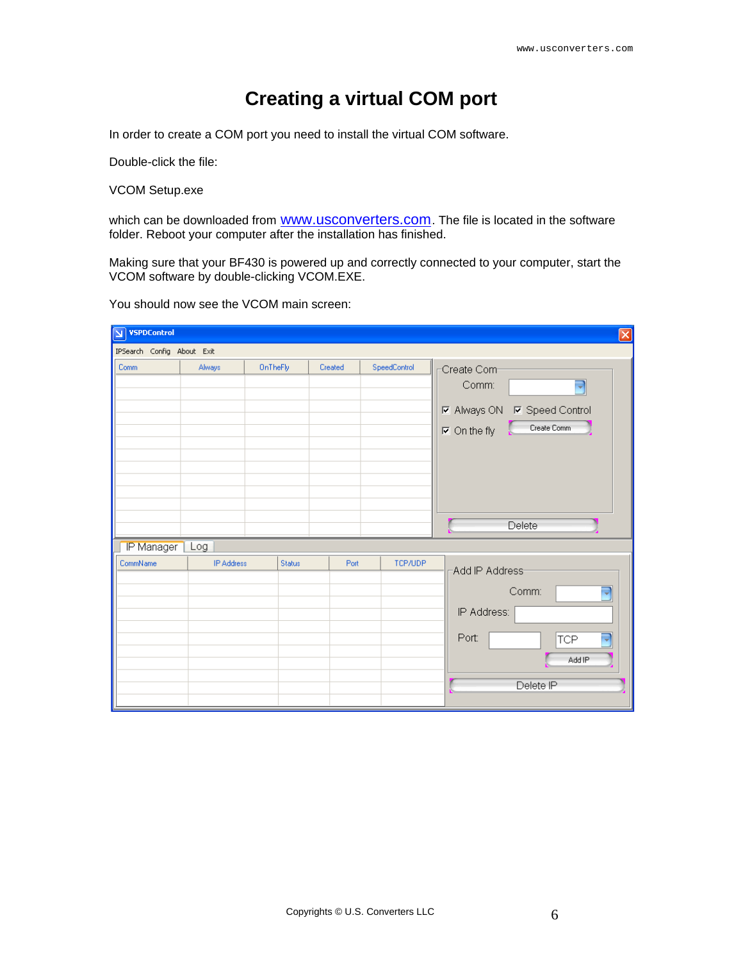# **Creating a virtual COM port**

<span id="page-5-0"></span>In order to create a COM port you need to install the virtual COM software.

Double-click the file:

VCOM Setup.exe

which can be downloaded from **WWW.usconverters.com**. The file is located in the software folder. Reboot your computer after the installation has finished.

Making sure that your BF430 is powered up and correctly connected to your computer, start the VCOM software by double-clicking VCOM.EXE.

You should now see the VCOM main screen:

| $\boxed{\mathbf{N}}$ VSPD Control |                   |          |         |              | $\boxed{\mathsf{x}}$                                                                                                   |
|-----------------------------------|-------------------|----------|---------|--------------|------------------------------------------------------------------------------------------------------------------------|
| IPSearch Config About Exit        |                   |          |         |              |                                                                                                                        |
| Comm                              | Always            | OnTheFly | Created | SpeedControl | Create Com-<br>Comm:<br>⊋<br><b>☑</b> Always ON <b>☑</b> Speed Control<br>Create Comm<br>$\nabla$ On the fly<br>Delete |
| IP Manager                        | Log               |          |         |              |                                                                                                                        |
| CommName                          | <b>IP Address</b> | Status   | Port    | TCP/UDP      | -Add IP Address-<br>Comm:<br>۰<br>IP Address:<br>Port:<br>U<br><b>TCP</b><br>Add IP<br>Delete IP                       |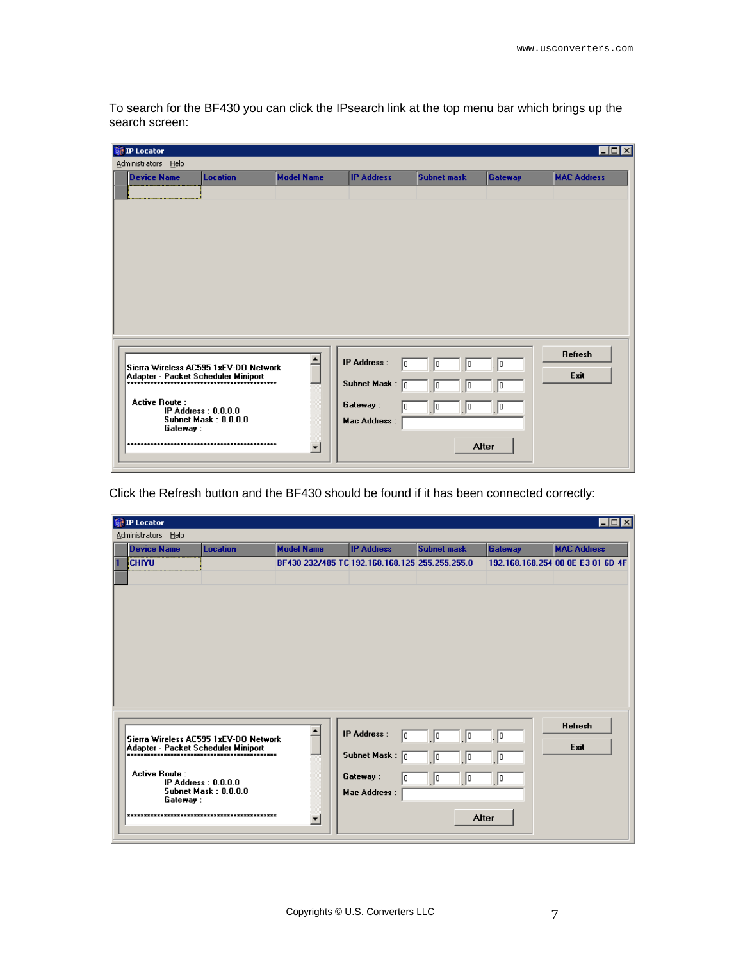To search for the BF430 you can click the IPsearch link at the top menu bar which brings up the search screen:

| <b>巅 IP Locator</b>                   |                       |                          |                          |                    |                       | $\blacksquare$ $\blacksquare$ |
|---------------------------------------|-----------------------|--------------------------|--------------------------|--------------------|-----------------------|-------------------------------|
| Administrators Help                   |                       |                          |                          |                    |                       |                               |
| <b>Device Name</b>                    | <b>Location</b>       | <b>Model Name</b>        | <b>IP Address</b>        | <b>Subnet mask</b> | Gateway               | <b>MAC Address</b>            |
|                                       |                       |                          |                          |                    |                       |                               |
|                                       |                       |                          |                          |                    |                       |                               |
|                                       |                       |                          |                          |                    |                       |                               |
|                                       |                       |                          |                          |                    |                       |                               |
|                                       |                       |                          |                          |                    |                       |                               |
|                                       |                       |                          |                          |                    |                       |                               |
|                                       |                       |                          |                          |                    |                       |                               |
|                                       |                       |                          |                          |                    |                       |                               |
|                                       |                       |                          |                          |                    |                       |                               |
|                                       |                       |                          |                          |                    |                       |                               |
|                                       |                       |                          |                          |                    |                       |                               |
|                                       |                       |                          |                          |                    |                       |                               |
|                                       |                       |                          | IP Address :             |                    |                       | Refresh                       |
| Sierra Wireless AC595 1xEV-DO Network |                       |                          | l0.                      | 10<br>10           | $\cdot$ <sub>10</sub> | Exit                          |
|                                       |                       |                          | Subnet Mask: $\boxed{0}$ | 0 <br>10           | 10                    |                               |
| <b>Active Route:</b>                  |                       |                          |                          |                    |                       |                               |
|                                       | IP Address: $0.0.0.0$ |                          | Gateway:<br>lo.          | $\sqrt{0}$<br>10   | $\vert$ 0             |                               |
| Gateway:                              | Subnet Mask: 0.0.0.0  |                          | Mac Address :            |                    |                       |                               |
|                                       |                       |                          |                          |                    |                       |                               |
|                                       |                       | $\vert \textbf{v} \vert$ |                          | Alter              |                       |                               |
|                                       |                       |                          |                          |                    |                       |                               |

Click the Refresh button and the BF430 should be found if it has been connected correctly:

| 巅 IP Locator                                                                 |                                               |                                                |                                               |                      |                | $\Box$ D $\Box$                   |
|------------------------------------------------------------------------------|-----------------------------------------------|------------------------------------------------|-----------------------------------------------|----------------------|----------------|-----------------------------------|
| Administrators Help                                                          |                                               |                                                |                                               |                      |                |                                   |
| <b>Device Name</b>                                                           | <b>Location</b>                               | <b>Model Name</b>                              | <b>IP Address</b>                             | <b>Subnet mask</b>   | <b>Gateway</b> | <b>MAC Address</b>                |
| ichiyu                                                                       |                                               | BF430 232/485 TC 192.168.168.125 255.255.255.0 |                                               |                      |                | 192.168.168.254 00 0E E3 01 6D 4F |
|                                                                              |                                               |                                                |                                               |                      |                |                                   |
|                                                                              |                                               |                                                |                                               |                      |                | <b>Refresh</b>                    |
| Sierra Wireless AC595 1xEV-DO Network<br>Adapter - Packet Scheduler Miniport |                                               |                                                | IP Address:<br>10<br>Subnet Mask: $\boxed{0}$ | Iо<br>10<br>Iо<br>10 | 10<br>10       | Exit                              |
| <b>Active Route:</b><br>Gateway:                                             | IP Address: $0.0.0.0$<br>Subnet Mask: 0.0.0.0 |                                                | Gateway:<br>10<br>Mac Address :               | 0 <br>10             | 10             |                                   |
|                                                                              |                                               | $\blacktriangledown$                           |                                               | Alter                |                |                                   |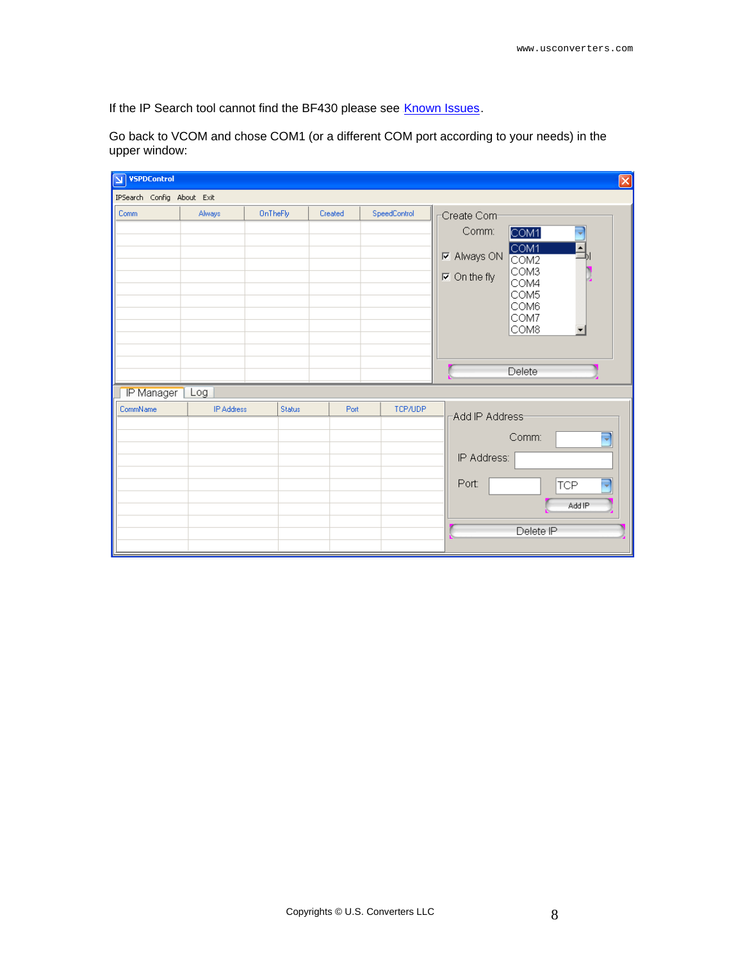If the IP Search tool cannot find the BF430 please see [Known Issues](#page-17-0).

Go back to VCOM and chose COM1 (or a different COM port according to your needs) in the upper window:

| VSPDControl                |                   |               |         |              | $\mathbf{\overline{x}}$                 |
|----------------------------|-------------------|---------------|---------|--------------|-----------------------------------------|
| IPSearch Config About Exit |                   |               |         |              |                                         |
| Comm                       | Always            | OnTheFly      | Created | SpeedControl | Create Com-                             |
|                            |                   |               |         |              | Comm:<br>COM1                           |
|                            |                   |               |         |              | COM <sub>1</sub>                        |
|                            |                   |               |         |              | <b>☑</b> Always ON<br>$\overline{COM2}$ |
|                            |                   |               |         |              | COM3<br>$\nabla$ On the fly<br>COM4     |
|                            |                   |               |         |              | COM5                                    |
|                            |                   |               |         |              | COM6<br>COM7                            |
|                            |                   |               |         |              | COM8                                    |
|                            |                   |               |         |              |                                         |
|                            |                   |               |         |              |                                         |
|                            |                   |               |         |              | Delete                                  |
| IP Manager                 | Log               |               |         |              |                                         |
| CommName                   | <b>IP Address</b> | <b>Status</b> | Port    | TCP/UDP      | -Add IP Address-                        |
|                            |                   |               |         |              |                                         |
|                            |                   |               |         |              | Comm:<br>U                              |
|                            |                   |               |         |              | IP Address:                             |
|                            |                   |               |         |              | Port:<br>J                              |
|                            |                   |               |         |              | <b>TCP</b>                              |
|                            |                   |               |         |              | Add IP                                  |
|                            |                   |               |         |              | Delete IP                               |
|                            |                   |               |         |              |                                         |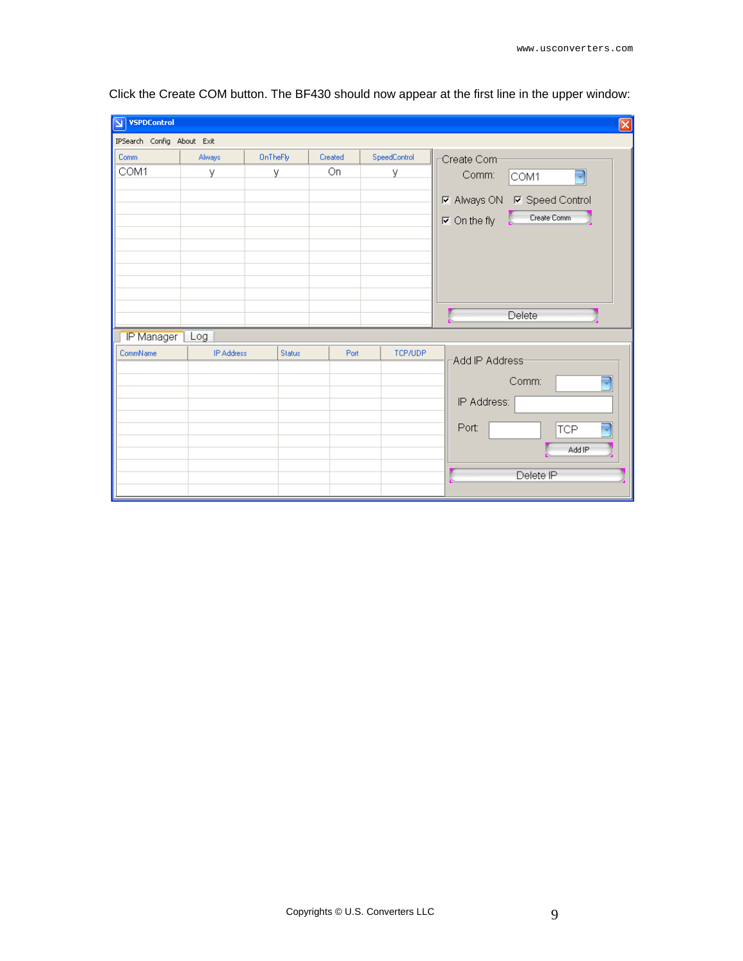| <b>VSPDControl</b><br>$\overline{\mathbf{M}}$ |                   |          |         |              | $\overline{\mathsf{x}}$                                                                                                                |
|-----------------------------------------------|-------------------|----------|---------|--------------|----------------------------------------------------------------------------------------------------------------------------------------|
| IPSearch Config About Exit                    |                   |          |         |              |                                                                                                                                        |
| Comm                                          | Always            | OnTheFly | Created | SpeedControl | Create Com-                                                                                                                            |
| COM1                                          | У                 | У        | On      | У            | Comm:<br>$\overline{\phantom{a}}$<br>COM1<br><b>☑</b> Always ON <b>☑</b> Speed Control<br>Create Comm<br>$\nabla$ On the fly<br>Delete |
| IP Manager                                    | Log               |          |         |              |                                                                                                                                        |
| CommName                                      | <b>IP Address</b> | Status   | Port    | TCP/UDP      | -Add IP Address-<br>Comm:<br>J<br>IP Address:<br>Port:<br><b>TCP</b><br>Add IP<br>Delete IP                                            |

Click the Create COM button. The BF430 should now appear at the first line in the upper window: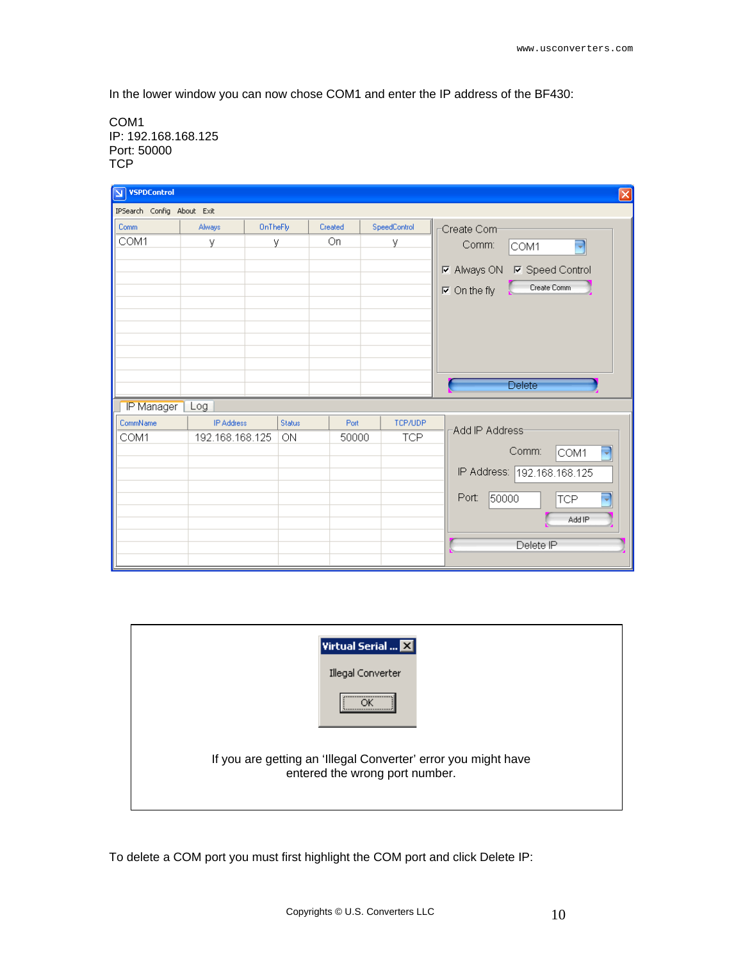In the lower window you can now chose COM1 and enter the IP address of the BF430:

COM1 IP: 192.168.168.125 Port: 50000 **TCP** 

| <b>VSPDControl</b><br>$\vert \mathbf{z} \vert$ |                            |               |         |              | $\mathbf{\overline{x}}$                                                                                                      |  |  |
|------------------------------------------------|----------------------------|---------------|---------|--------------|------------------------------------------------------------------------------------------------------------------------------|--|--|
|                                                | IPSearch Config About Exit |               |         |              |                                                                                                                              |  |  |
| Comm                                           | Always                     | OnTheFly      | Created | SpeedControl | Create Com-                                                                                                                  |  |  |
| COM1                                           | У                          | У             | On.     | У            | Comm:<br>$\overline{\phantom{0}}$<br>COM1<br><b>☑</b> Always ON <b>☑</b> Speed Control<br>Create Comm<br>$\nabla$ On the fly |  |  |
| IP Manager                                     | Log                        |               |         |              | Delete                                                                                                                       |  |  |
| CommName                                       | <b>IP Address</b>          | <b>Status</b> | Port    | TCP/UDP      | -Add IP Address-                                                                                                             |  |  |
| COM1                                           | 192.168.168.125            | 0N            | 50000   | <b>TCP</b>   | Comm:<br>پ<br>COM1<br>IP Address: 192.168.168.125<br>50000<br>Port:<br><b>TCP</b><br>۳<br>Add IP<br>Delete IP                |  |  |

| Virtual Serial $\boxtimes$                                                                       |
|--------------------------------------------------------------------------------------------------|
| Illegal Converter                                                                                |
| <br>                                                                                             |
| If you are getting an 'Illegal Converter' error you might have<br>entered the wrong port number. |

To delete a COM port you must first highlight the COM port and click Delete IP: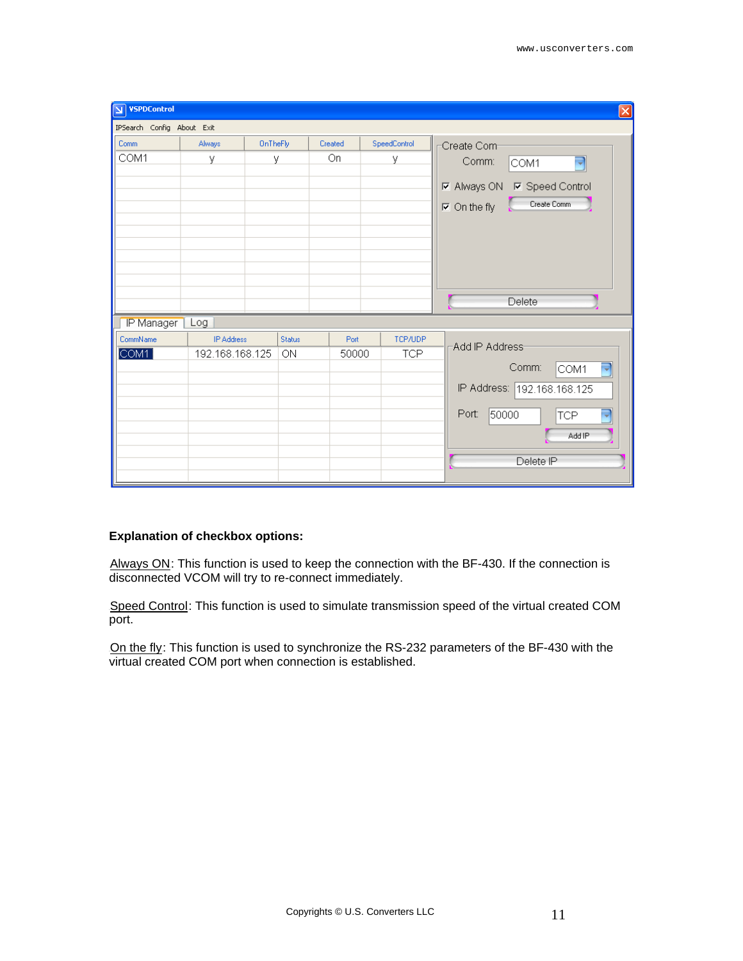| <b>VSPDControl</b><br>$\overline{\mathbf{M}}$<br>$\boxed{\mathsf{x}}$ |                   |               |         |              |                                                                                                               |  |  |  |
|-----------------------------------------------------------------------|-------------------|---------------|---------|--------------|---------------------------------------------------------------------------------------------------------------|--|--|--|
| IPSearch Config About Exit                                            |                   |               |         |              |                                                                                                               |  |  |  |
| Comm                                                                  | Always            | OnTheFly      | Created | SpeedControl | Create Com-                                                                                                   |  |  |  |
| COM1                                                                  | у                 | У             | On      | У            | $\overline{\phantom{a}}$<br>Comm:<br>COM1<br><b>☑</b> Always ON<br><b>☑</b> Speed Control                     |  |  |  |
|                                                                       |                   |               |         |              | Create Comm<br>$\nabla$ On the fly                                                                            |  |  |  |
| IP Manager                                                            | Log               |               |         |              | Delete                                                                                                        |  |  |  |
| CommName                                                              | <b>IP Address</b> | <b>Status</b> | Port    | TCP/UDP      | -Add IP Address-                                                                                              |  |  |  |
| COM1                                                                  | 192.168.168.125   | 0N            | 50000   | <b>TCP</b>   | p<br>Comm:<br>COM1<br>IP Address: 192.168.168.125<br>50000<br>۳<br>Port:<br><b>TCP</b><br>Add IP<br>Delete IP |  |  |  |

#### **Explanation of checkbox options:**

Always ON: This function is used to keep the connection with the BF-430. If the connection is disconnected VCOM will try to re-connect immediately.

Speed Control: This function is used to simulate transmission speed of the virtual created COM port.

On the fly: This function is used to synchronize the RS-232 parameters of the BF-430 with the virtual created COM port when connection is established.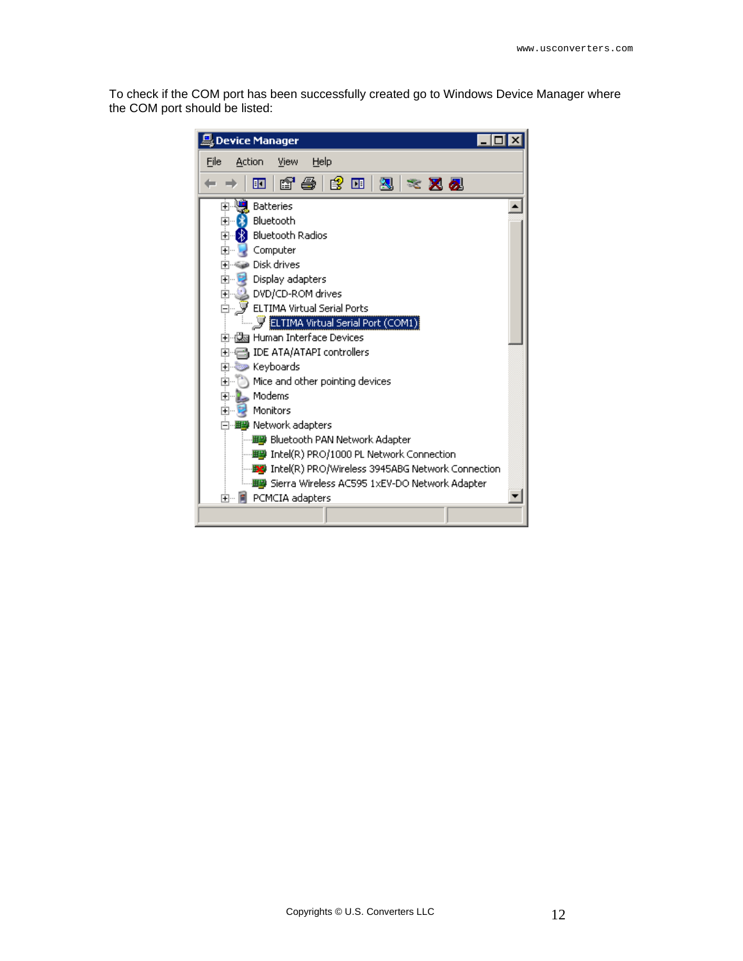To check if the COM port has been successfully created go to Windows Device Manager where the COM port should be listed:

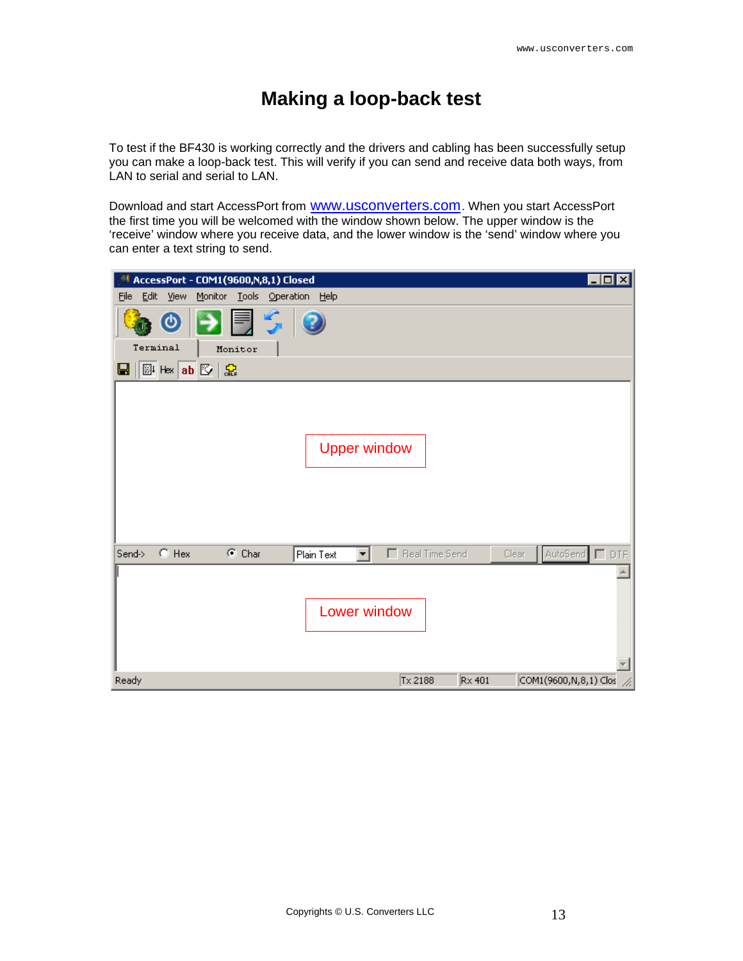## **Making a loop-back test**

<span id="page-12-0"></span>To test if the BF430 is working correctly and the drivers and cabling has been successfully setup you can make a loop-back test. This will verify if you can send and receive data both ways, from LAN to serial and serial to LAN.

Download and start AccessPort from **WWW.USCONVETERS.COM.** When you start AccessPort the first time you will be welcomed with the window shown below. The upper window is the 'receive' window where you receive data, and the lower window is the 'send' window where you can enter a text string to send.

| $\blacksquare$ o $\blacksquare$<br>AccessPort - COM1(9600,N,8,1) Closed                                                            |
|------------------------------------------------------------------------------------------------------------------------------------|
| Eile<br>Edit<br>View<br>Monitor Tools Operation<br>Help                                                                            |
| 引見ら<br>$\bm{\omega}$                                                                                                               |
| Terminal<br>Monitor                                                                                                                |
| <b>图 Hex ab 图 品</b><br>Ы                                                                                                           |
| <b>Upper window</b><br>$\bigcirc$ Hex<br>$\odot$ Char<br>F Real Time Send<br>Send-><br>AutoSend □ DTF<br>Plain Text<br>▾╎<br>Clear |
| Lower window                                                                                                                       |
| COM1(9600, N, 8, 1) Clos<br>Ready<br>Tx 2188<br>$Rx$ 401                                                                           |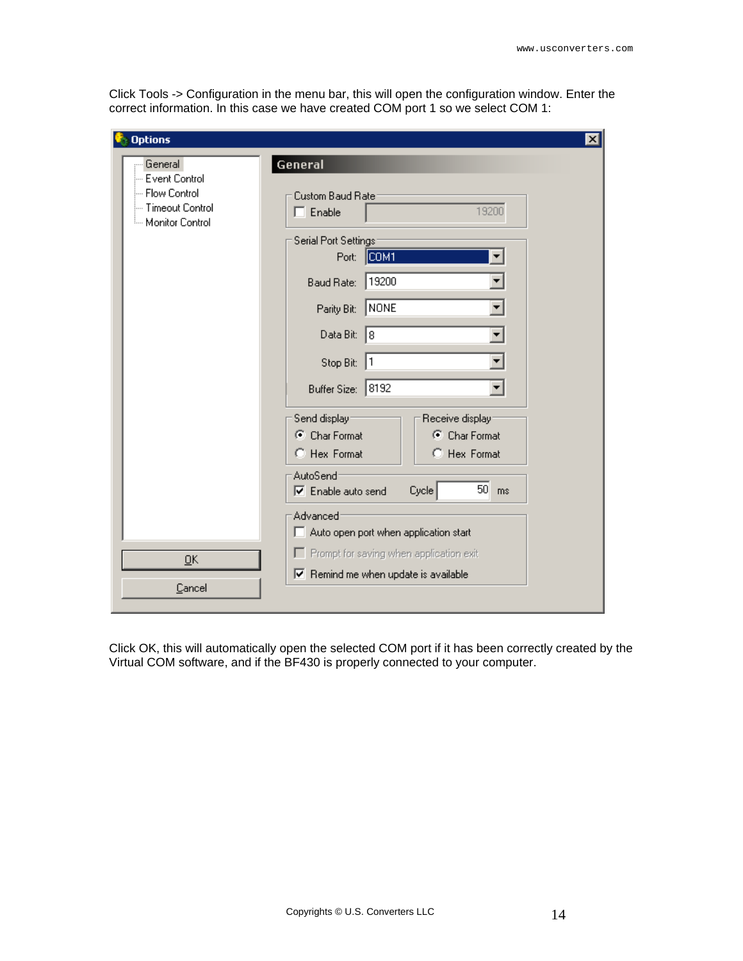Click Tools -> Configuration in the menu bar, this will open the configuration window. Enter the correct information. In this case we have created COM port 1 so we select COM 1:

| <b>Options</b>                                            | $\vert x \vert$                                                        |  |  |  |  |
|-----------------------------------------------------------|------------------------------------------------------------------------|--|--|--|--|
| General<br>-- Event Control                               | General                                                                |  |  |  |  |
| -- Flow Control<br>--- Timeout Control<br>Monitor Control | Custom Baud Rate:<br>19200<br>$\Box$ Enable                            |  |  |  |  |
|                                                           | Serial Port Settings-<br>  СОМ1<br>Port:                               |  |  |  |  |
|                                                           | 19200<br>Baud Rate:                                                    |  |  |  |  |
|                                                           | NONE<br>Parity Bit:                                                    |  |  |  |  |
|                                                           | Data Bit:<br>18                                                        |  |  |  |  |
|                                                           | Stop Bit: 1                                                            |  |  |  |  |
|                                                           | Buffer Size: 8192                                                      |  |  |  |  |
|                                                           | Send display:<br>Receive display:                                      |  |  |  |  |
|                                                           | C Char Format<br>C Char Format                                         |  |  |  |  |
|                                                           | C Hex Format<br>C Hex Format                                           |  |  |  |  |
|                                                           | AutoSend <sup>-</sup><br>$50$ ms<br>Cycle<br>$\nabla$ Enable auto send |  |  |  |  |
|                                                           | Advanced <sup>-</sup><br>Auto open port when application start         |  |  |  |  |
| QK                                                        | F Prompt for saving when application exit                              |  |  |  |  |
| Cancel                                                    | $\triangledown$ Remind me when update is available                     |  |  |  |  |
|                                                           |                                                                        |  |  |  |  |

Click OK, this will automatically open the selected COM port if it has been correctly created by the Virtual COM software, and if the BF430 is properly connected to your computer.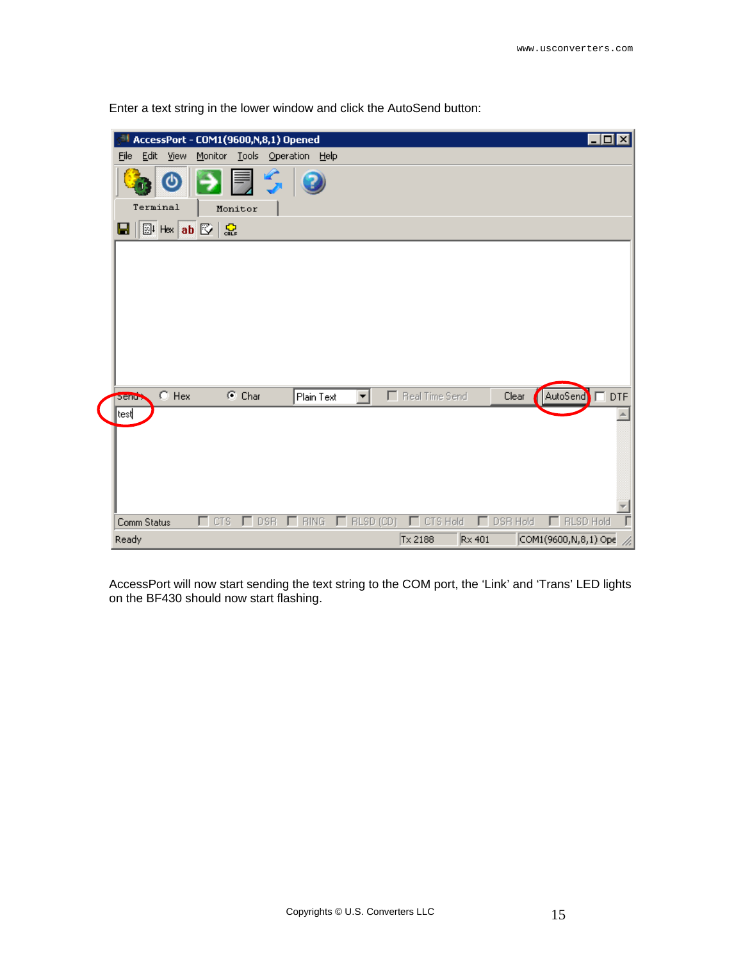| $\blacksquare\square\times$<br>AccessPort - COM1(9600,N,8,1) Opened<br>Tools Operation Help<br>Eile<br>Edit<br>Monitor<br>View  |
|---------------------------------------------------------------------------------------------------------------------------------|
| ึ७                                                                                                                              |
| Terminal<br>Monitor                                                                                                             |
| <sup>圖 Hax</sup> ab 図   忠<br>Ы                                                                                                  |
|                                                                                                                                 |
| $\bigcirc$ Hex<br>F Real Time Send<br>$C$ Char<br>$\Box$ DTF<br>Plain Text<br>Clear<br>AutoSend<br><b>Sendy</b>                 |
| test                                                                                                                            |
| $\Box$ RLSD (CD)<br>CTS Hold<br><b>BING</b><br>DSR Hold<br><b>RLSD Hold</b><br>$\Gamma$ CTS<br>$\Gamma$ DSR<br>Comm Status<br>г |
| Tx 2188<br>$Rx$ 401<br>COM1(9600,N,8,1) Ope<br>Ready                                                                            |

Enter a text string in the lower window and click the AutoSend button:

AccessPort will now start sending the text string to the COM port, the 'Link' and 'Trans' LED lights on the BF430 should now start flashing.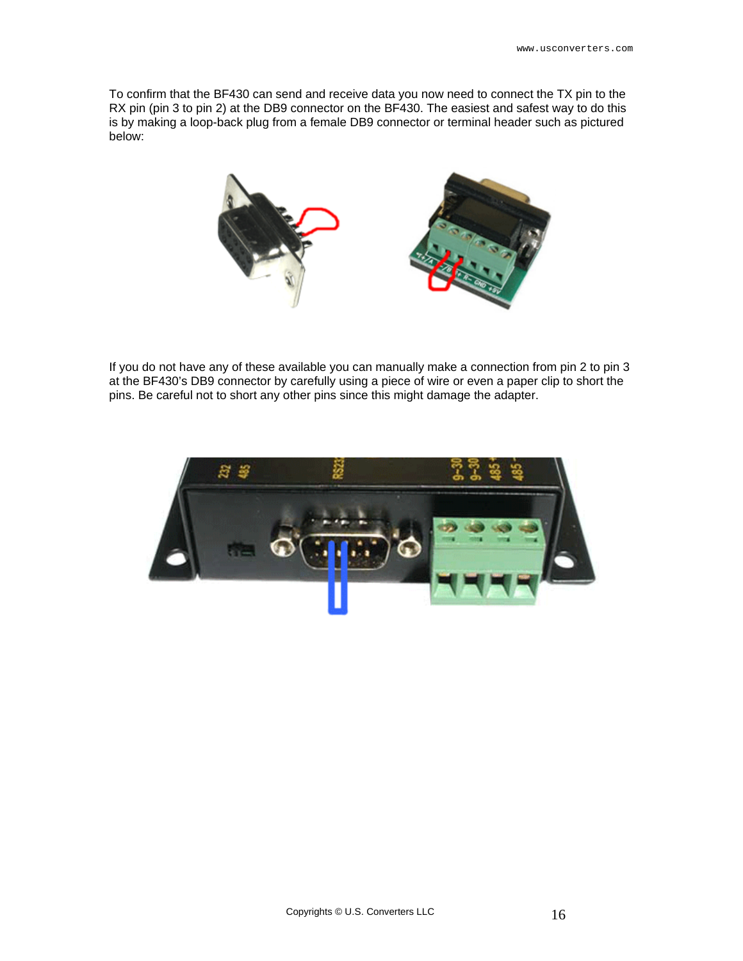To confirm that the BF430 can send and receive data you now need to connect the TX pin to the RX pin (pin 3 to pin 2) at the DB9 connector on the BF430. The easiest and safest way to do this is by making a loop-back plug from a female DB9 connector or terminal header such as pictured below:



If you do not have any of these available you can manually make a connection from pin 2 to pin 3 at the BF430's DB9 connector by carefully using a piece of wire or even a paper clip to short the pins. Be careful not to short any other pins since this might damage the adapter.

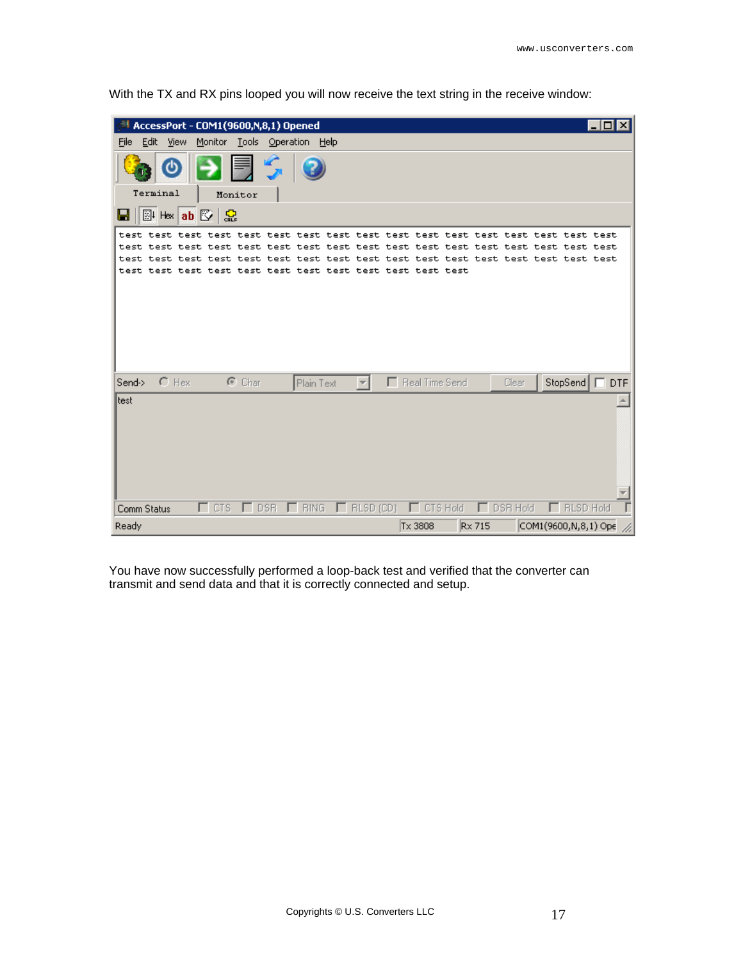| AccessPort - COM1(9600,N,8,1) Opened<br>$ \Box$              |                                                                        |  |  |  |  |  |  |
|--------------------------------------------------------------|------------------------------------------------------------------------|--|--|--|--|--|--|
| Eile<br>Edit<br>Monitor<br>Tools Operation Help<br>View      |                                                                        |  |  |  |  |  |  |
|                                                              |                                                                        |  |  |  |  |  |  |
| Terminal<br>Monitor                                          |                                                                        |  |  |  |  |  |  |
| <b>图 Hex ab 图 品</b><br>Ы                                     |                                                                        |  |  |  |  |  |  |
|                                                              |                                                                        |  |  |  |  |  |  |
|                                                              |                                                                        |  |  |  |  |  |  |
|                                                              |                                                                        |  |  |  |  |  |  |
|                                                              |                                                                        |  |  |  |  |  |  |
|                                                              |                                                                        |  |  |  |  |  |  |
|                                                              |                                                                        |  |  |  |  |  |  |
|                                                              |                                                                        |  |  |  |  |  |  |
|                                                              |                                                                        |  |  |  |  |  |  |
| $C$ Hex<br>$C$ Char<br>Send-><br>Plain Text                  | F Real Time Send<br>StopSend<br>$\Box$ DTF<br>Clear                    |  |  |  |  |  |  |
| test                                                         |                                                                        |  |  |  |  |  |  |
|                                                              |                                                                        |  |  |  |  |  |  |
|                                                              |                                                                        |  |  |  |  |  |  |
|                                                              |                                                                        |  |  |  |  |  |  |
|                                                              |                                                                        |  |  |  |  |  |  |
|                                                              |                                                                        |  |  |  |  |  |  |
| $\Gamma$ CTS<br>$\Gamma$ BING<br>$\Gamma$ DSR<br>Comm Status | $\Box$ RLSD (CD)<br>CTS Hold<br>DSR Hold<br><b>RLSD Hold</b><br>E<br>г |  |  |  |  |  |  |
| <b>Ready</b>                                                 | Tx 3808<br>COM1(9600,N,8,1) Ope<br>Rx 715                              |  |  |  |  |  |  |

With the TX and RX pins looped you will now receive the text string in the receive window:

You have now successfully performed a loop-back test and verified that the converter can transmit and send data and that it is correctly connected and setup.